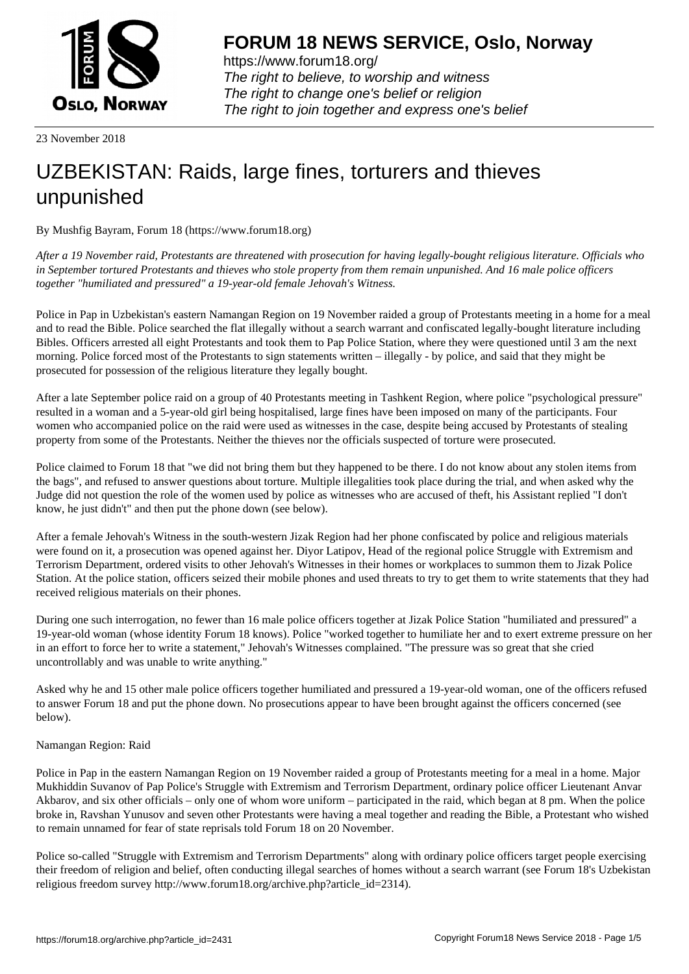

https://www.forum18.org/ The right to believe, to worship and witness The right to change one's belief or religion [The right to join together a](https://www.forum18.org/)nd express one's belief

23 November 2018

## [UZBEKISTAN:](https://www.forum18.org) Raids, large fines, torturers and thieves unpunished

By Mushfig Bayram, Forum 18 (https://www.forum18.org)

*After a 19 November raid, Protestants are threatened with prosecution for having legally-bought religious literature. Officials who in September tortured Protestants and thieves who stole property from them remain unpunished. And 16 male police officers together "humiliated and pressured" a 19-year-old female Jehovah's Witness.*

Police in Pap in Uzbekistan's eastern Namangan Region on 19 November raided a group of Protestants meeting in a home for a meal and to read the Bible. Police searched the flat illegally without a search warrant and confiscated legally-bought literature including Bibles. Officers arrested all eight Protestants and took them to Pap Police Station, where they were questioned until 3 am the next morning. Police forced most of the Protestants to sign statements written – illegally - by police, and said that they might be prosecuted for possession of the religious literature they legally bought.

After a late September police raid on a group of 40 Protestants meeting in Tashkent Region, where police "psychological pressure" resulted in a woman and a 5-year-old girl being hospitalised, large fines have been imposed on many of the participants. Four women who accompanied police on the raid were used as witnesses in the case, despite being accused by Protestants of stealing property from some of the Protestants. Neither the thieves nor the officials suspected of torture were prosecuted.

Police claimed to Forum 18 that "we did not bring them but they happened to be there. I do not know about any stolen items from the bags", and refused to answer questions about torture. Multiple illegalities took place during the trial, and when asked why the Judge did not question the role of the women used by police as witnesses who are accused of theft, his Assistant replied "I don't know, he just didn't" and then put the phone down (see below).

After a female Jehovah's Witness in the south-western Jizak Region had her phone confiscated by police and religious materials were found on it, a prosecution was opened against her. Diyor Latipov, Head of the regional police Struggle with Extremism and Terrorism Department, ordered visits to other Jehovah's Witnesses in their homes or workplaces to summon them to Jizak Police Station. At the police station, officers seized their mobile phones and used threats to try to get them to write statements that they had received religious materials on their phones.

During one such interrogation, no fewer than 16 male police officers together at Jizak Police Station "humiliated and pressured" a 19-year-old woman (whose identity Forum 18 knows). Police "worked together to humiliate her and to exert extreme pressure on her in an effort to force her to write a statement," Jehovah's Witnesses complained. "The pressure was so great that she cried uncontrollably and was unable to write anything."

Asked why he and 15 other male police officers together humiliated and pressured a 19-year-old woman, one of the officers refused to answer Forum 18 and put the phone down. No prosecutions appear to have been brought against the officers concerned (see below).

## Namangan Region: Raid

Police in Pap in the eastern Namangan Region on 19 November raided a group of Protestants meeting for a meal in a home. Major Mukhiddin Suvanov of Pap Police's Struggle with Extremism and Terrorism Department, ordinary police officer Lieutenant Anvar Akbarov, and six other officials – only one of whom wore uniform – participated in the raid, which began at 8 pm. When the police broke in, Ravshan Yunusov and seven other Protestants were having a meal together and reading the Bible, a Protestant who wished to remain unnamed for fear of state reprisals told Forum 18 on 20 November.

Police so-called "Struggle with Extremism and Terrorism Departments" along with ordinary police officers target people exercising their freedom of religion and belief, often conducting illegal searches of homes without a search warrant (see Forum 18's Uzbekistan religious freedom survey http://www.forum18.org/archive.php?article\_id=2314).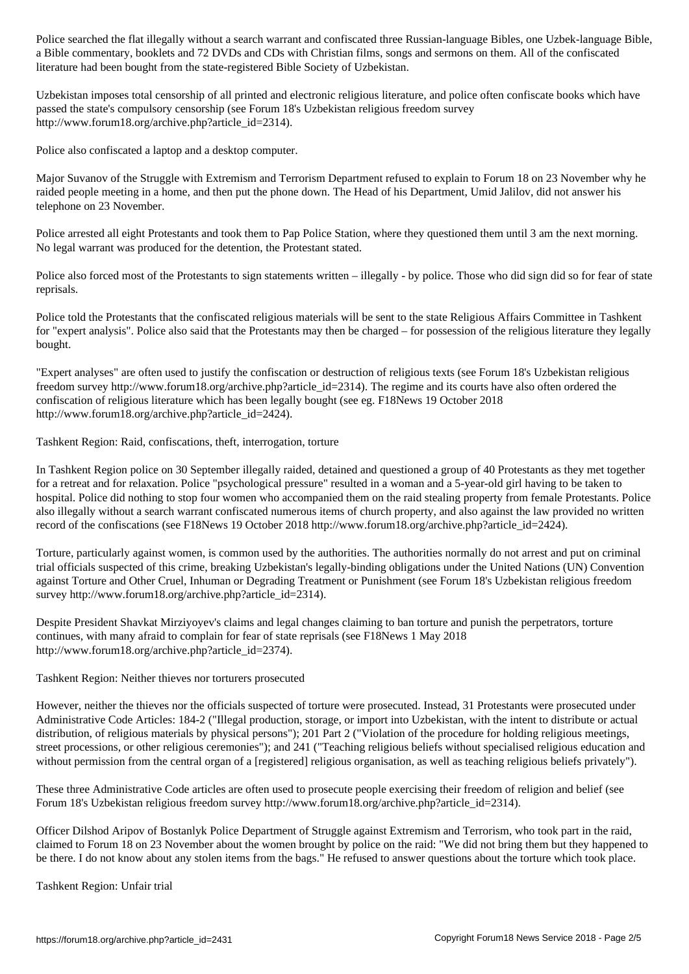a Bible commentary, booklets and 72 DVDs and CDs with Christian films, songs and sermons on them. All of the confiscated literature had been bought from the state-registered Bible Society of Uzbekistan.

Uzbekistan imposes total censorship of all printed and electronic religious literature, and police often confiscate books which have passed the state's compulsory censorship (see Forum 18's Uzbekistan religious freedom survey http://www.forum18.org/archive.php?article\_id=2314).

Police also confiscated a laptop and a desktop computer.

Major Suvanov of the Struggle with Extremism and Terrorism Department refused to explain to Forum 18 on 23 November why he raided people meeting in a home, and then put the phone down. The Head of his Department, Umid Jalilov, did not answer his telephone on 23 November.

Police arrested all eight Protestants and took them to Pap Police Station, where they questioned them until 3 am the next morning. No legal warrant was produced for the detention, the Protestant stated.

Police also forced most of the Protestants to sign statements written – illegally - by police. Those who did sign did so for fear of state reprisals.

Police told the Protestants that the confiscated religious materials will be sent to the state Religious Affairs Committee in Tashkent for "expert analysis". Police also said that the Protestants may then be charged – for possession of the religious literature they legally bought.

"Expert analyses" are often used to justify the confiscation or destruction of religious texts (see Forum 18's Uzbekistan religious freedom survey http://www.forum18.org/archive.php?article id=2314). The regime and its courts have also often ordered the confiscation of religious literature which has been legally bought (see eg. F18News 19 October 2018 http://www.forum18.org/archive.php?article\_id=2424).

Tashkent Region: Raid, confiscations, theft, interrogation, torture

In Tashkent Region police on 30 September illegally raided, detained and questioned a group of 40 Protestants as they met together for a retreat and for relaxation. Police "psychological pressure" resulted in a woman and a 5-year-old girl having to be taken to hospital. Police did nothing to stop four women who accompanied them on the raid stealing property from female Protestants. Police also illegally without a search warrant confiscated numerous items of church property, and also against the law provided no written record of the confiscations (see F18News 19 October 2018 http://www.forum18.org/archive.php?article\_id=2424).

Torture, particularly against women, is common used by the authorities. The authorities normally do not arrest and put on criminal trial officials suspected of this crime, breaking Uzbekistan's legally-binding obligations under the United Nations (UN) Convention against Torture and Other Cruel, Inhuman or Degrading Treatment or Punishment (see Forum 18's Uzbekistan religious freedom survey http://www.forum18.org/archive.php?article\_id=2314).

Despite President Shavkat Mirziyoyev's claims and legal changes claiming to ban torture and punish the perpetrators, torture continues, with many afraid to complain for fear of state reprisals (see F18News 1 May 2018 http://www.forum18.org/archive.php?article\_id=2374).

Tashkent Region: Neither thieves nor torturers prosecuted

However, neither the thieves nor the officials suspected of torture were prosecuted. Instead, 31 Protestants were prosecuted under Administrative Code Articles: 184-2 ("Illegal production, storage, or import into Uzbekistan, with the intent to distribute or actual distribution, of religious materials by physical persons"); 201 Part 2 ("Violation of the procedure for holding religious meetings, street processions, or other religious ceremonies"); and 241 ("Teaching religious beliefs without specialised religious education and without permission from the central organ of a [registered] religious organisation, as well as teaching religious beliefs privately").

These three Administrative Code articles are often used to prosecute people exercising their freedom of religion and belief (see Forum 18's Uzbekistan religious freedom survey http://www.forum18.org/archive.php?article\_id=2314).

Officer Dilshod Aripov of Bostanlyk Police Department of Struggle against Extremism and Terrorism, who took part in the raid, claimed to Forum 18 on 23 November about the women brought by police on the raid: "We did not bring them but they happened to be there. I do not know about any stolen items from the bags." He refused to answer questions about the torture which took place.

Tashkent Region: Unfair trial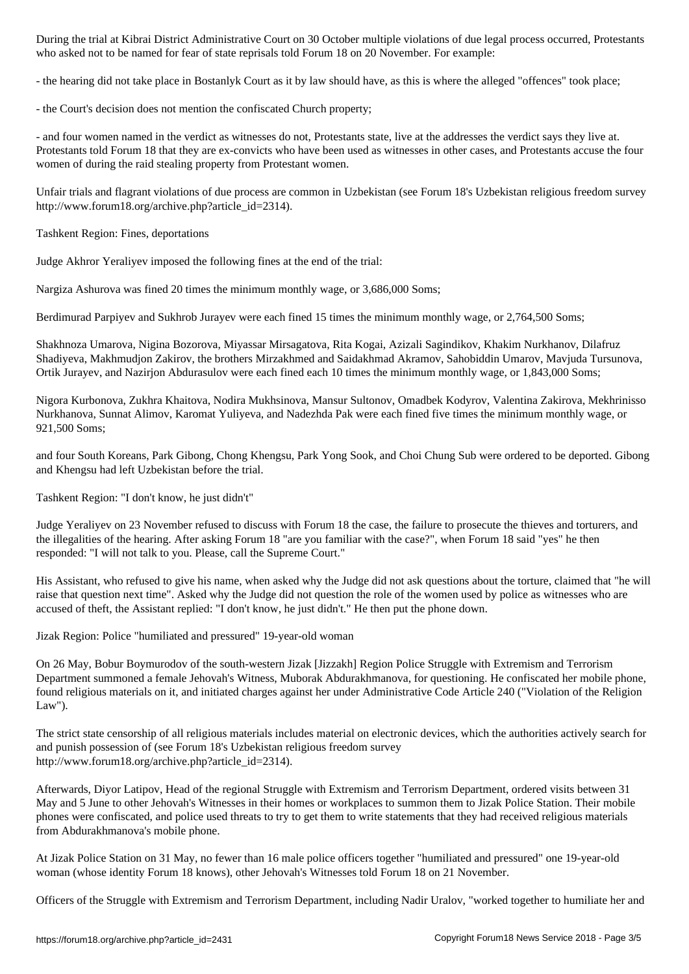- the hearing did not take place in Bostanlyk Court as it by law should have, as this is where the alleged "offences" took place;

who as to be named for fear of state reprise representation for  $\mathbf{F}$  on 20 November. For example:

- the Court's decision does not mention the confiscated Church property;

- and four women named in the verdict as witnesses do not, Protestants state, live at the addresses the verdict says they live at. Protestants told Forum 18 that they are ex-convicts who have been used as witnesses in other cases, and Protestants accuse the four women of during the raid stealing property from Protestant women.

Unfair trials and flagrant violations of due process are common in Uzbekistan (see Forum 18's Uzbekistan religious freedom survey http://www.forum18.org/archive.php?article\_id=2314).

Tashkent Region: Fines, deportations

Judge Akhror Yeraliyev imposed the following fines at the end of the trial:

Nargiza Ashurova was fined 20 times the minimum monthly wage, or 3,686,000 Soms;

Berdimurad Parpiyev and Sukhrob Jurayev were each fined 15 times the minimum monthly wage, or 2,764,500 Soms;

Shakhnoza Umarova, Nigina Bozorova, Miyassar Mirsagatova, Rita Kogai, Azizali Sagindikov, Khakim Nurkhanov, Dilafruz Shadiyeva, Makhmudjon Zakirov, the brothers Mirzakhmed and Saidakhmad Akramov, Sahobiddin Umarov, Mavjuda Tursunova, Ortik Jurayev, and Nazirjon Abdurasulov were each fined each 10 times the minimum monthly wage, or 1,843,000 Soms;

Nigora Kurbonova, Zukhra Khaitova, Nodira Mukhsinova, Mansur Sultonov, Omadbek Kodyrov, Valentina Zakirova, Mekhrinisso Nurkhanova, Sunnat Alimov, Karomat Yuliyeva, and Nadezhda Pak were each fined five times the minimum monthly wage, or 921,500 Soms;

and four South Koreans, Park Gibong, Chong Khengsu, Park Yong Sook, and Choi Chung Sub were ordered to be deported. Gibong and Khengsu had left Uzbekistan before the trial.

Tashkent Region: "I don't know, he just didn't"

Judge Yeraliyev on 23 November refused to discuss with Forum 18 the case, the failure to prosecute the thieves and torturers, and the illegalities of the hearing. After asking Forum 18 "are you familiar with the case?", when Forum 18 said "yes" he then responded: "I will not talk to you. Please, call the Supreme Court."

His Assistant, who refused to give his name, when asked why the Judge did not ask questions about the torture, claimed that "he will raise that question next time". Asked why the Judge did not question the role of the women used by police as witnesses who are accused of theft, the Assistant replied: "I don't know, he just didn't." He then put the phone down.

Jizak Region: Police "humiliated and pressured" 19-year-old woman

On 26 May, Bobur Boymurodov of the south-western Jizak [Jizzakh] Region Police Struggle with Extremism and Terrorism Department summoned a female Jehovah's Witness, Muborak Abdurakhmanova, for questioning. He confiscated her mobile phone, found religious materials on it, and initiated charges against her under Administrative Code Article 240 ("Violation of the Religion Law").

The strict state censorship of all religious materials includes material on electronic devices, which the authorities actively search for and punish possession of (see Forum 18's Uzbekistan religious freedom survey http://www.forum18.org/archive.php?article\_id=2314).

Afterwards, Diyor Latipov, Head of the regional Struggle with Extremism and Terrorism Department, ordered visits between 31 May and 5 June to other Jehovah's Witnesses in their homes or workplaces to summon them to Jizak Police Station. Their mobile phones were confiscated, and police used threats to try to get them to write statements that they had received religious materials from Abdurakhmanova's mobile phone.

At Jizak Police Station on 31 May, no fewer than 16 male police officers together "humiliated and pressured" one 19-year-old woman (whose identity Forum 18 knows), other Jehovah's Witnesses told Forum 18 on 21 November.

Officers of the Struggle with Extremism and Terrorism Department, including Nadir Uralov, "worked together to humiliate her and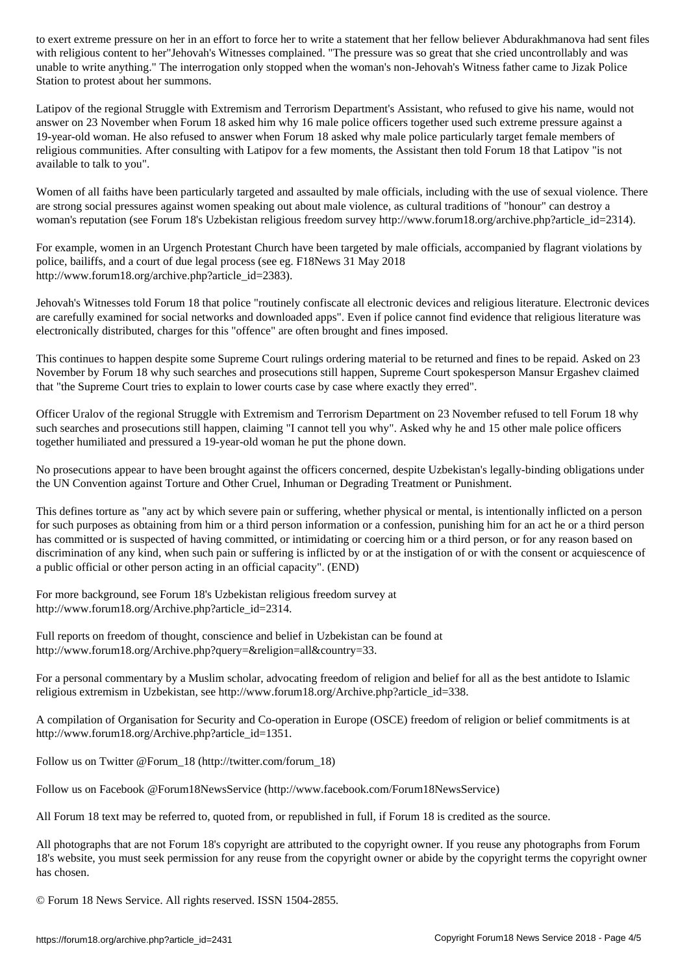with religious content to her Jehovah's Witnesses complex complex complex complex that she crited uncontrollably and was so great that she crited uncontrollably and was so great that she crited uncontrollably and was so gr unable to write anything." The interrogation only stopped when the woman's non-Jehovah's Witness father came to Jizak Police Station to protest about her summons.

Latipov of the regional Struggle with Extremism and Terrorism Department's Assistant, who refused to give his name, would not answer on 23 November when Forum 18 asked him why 16 male police officers together used such extreme pressure against a 19-year-old woman. He also refused to answer when Forum 18 asked why male police particularly target female members of religious communities. After consulting with Latipov for a few moments, the Assistant then told Forum 18 that Latipov "is not available to talk to you".

Women of all faiths have been particularly targeted and assaulted by male officials, including with the use of sexual violence. There are strong social pressures against women speaking out about male violence, as cultural traditions of "honour" can destroy a woman's reputation (see Forum 18's Uzbekistan religious freedom survey http://www.forum18.org/archive.php?article\_id=2314).

For example, women in an Urgench Protestant Church have been targeted by male officials, accompanied by flagrant violations by police, bailiffs, and a court of due legal process (see eg. F18News 31 May 2018 http://www.forum18.org/archive.php?article\_id=2383).

Jehovah's Witnesses told Forum 18 that police "routinely confiscate all electronic devices and religious literature. Electronic devices are carefully examined for social networks and downloaded apps". Even if police cannot find evidence that religious literature was electronically distributed, charges for this "offence" are often brought and fines imposed.

This continues to happen despite some Supreme Court rulings ordering material to be returned and fines to be repaid. Asked on 23 November by Forum 18 why such searches and prosecutions still happen, Supreme Court spokesperson Mansur Ergashev claimed that "the Supreme Court tries to explain to lower courts case by case where exactly they erred".

Officer Uralov of the regional Struggle with Extremism and Terrorism Department on 23 November refused to tell Forum 18 why such searches and prosecutions still happen, claiming "I cannot tell you why". Asked why he and 15 other male police officers together humiliated and pressured a 19-year-old woman he put the phone down.

No prosecutions appear to have been brought against the officers concerned, despite Uzbekistan's legally-binding obligations under the UN Convention against Torture and Other Cruel, Inhuman or Degrading Treatment or Punishment.

This defines torture as "any act by which severe pain or suffering, whether physical or mental, is intentionally inflicted on a person for such purposes as obtaining from him or a third person information or a confession, punishing him for an act he or a third person has committed or is suspected of having committed, or intimidating or coercing him or a third person, or for any reason based on discrimination of any kind, when such pain or suffering is inflicted by or at the instigation of or with the consent or acquiescence of a public official or other person acting in an official capacity". (END)

For more background, see Forum 18's Uzbekistan religious freedom survey at http://www.forum18.org/Archive.php?article\_id=2314.

Full reports on freedom of thought, conscience and belief in Uzbekistan can be found at http://www.forum18.org/Archive.php?query=&religion=all&country=33.

For a personal commentary by a Muslim scholar, advocating freedom of religion and belief for all as the best antidote to Islamic religious extremism in Uzbekistan, see http://www.forum18.org/Archive.php?article\_id=338.

A compilation of Organisation for Security and Co-operation in Europe (OSCE) freedom of religion or belief commitments is at http://www.forum18.org/Archive.php?article\_id=1351.

Follow us on Twitter @Forum\_18 (http://twitter.com/forum\_18)

Follow us on Facebook @Forum18NewsService (http://www.facebook.com/Forum18NewsService)

All Forum 18 text may be referred to, quoted from, or republished in full, if Forum 18 is credited as the source.

All photographs that are not Forum 18's copyright are attributed to the copyright owner. If you reuse any photographs from Forum 18's website, you must seek permission for any reuse from the copyright owner or abide by the copyright terms the copyright owner has chosen.

© Forum 18 News Service. All rights reserved. ISSN 1504-2855.